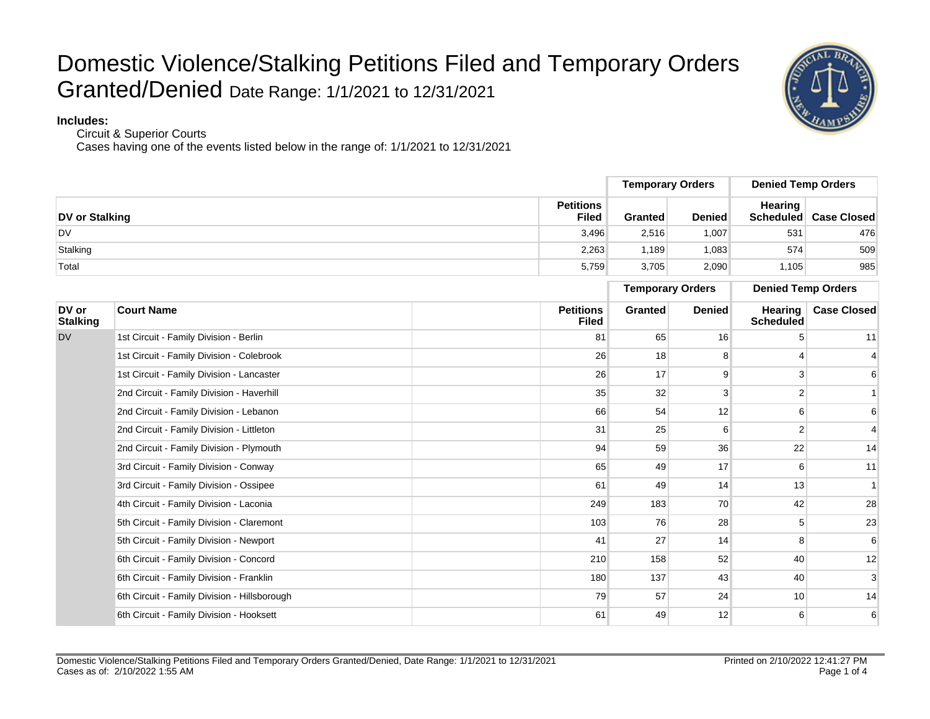

**Includes:**

Circuit & Superior Courts

|                          |                                              |                                  | <b>Temporary Orders</b> |               | <b>Denied Temp Orders</b>   |                              |
|--------------------------|----------------------------------------------|----------------------------------|-------------------------|---------------|-----------------------------|------------------------------|
| <b>DV</b> or Stalking    |                                              | <b>Petitions</b><br><b>Filed</b> | <b>Granted</b>          | <b>Denied</b> | <b>Hearing</b>              | <b>Scheduled</b> Case Closed |
| <b>DV</b>                |                                              | 3.496                            | 2,516                   | 1.007         | 531                         | 476                          |
| Stalking                 |                                              | 2,263                            | 1,189                   | 1,083         | 574                         | 509                          |
| Total                    |                                              | 5,759                            | 3,705                   | 2,090         | 1,105                       | 985                          |
|                          |                                              |                                  | <b>Temporary Orders</b> |               | <b>Denied Temp Orders</b>   |                              |
| DV or<br><b>Stalking</b> | <b>Court Name</b>                            | <b>Petitions</b><br><b>Filed</b> | Granted                 | <b>Denied</b> | Hearing<br><b>Scheduled</b> | <b>Case Closed</b>           |
| <b>DV</b>                | 1st Circuit - Family Division - Berlin       | 81                               | 65                      | 16            |                             | 11                           |
|                          | 1st Circuit - Family Division - Colebrook    | 26                               | 18                      | 8             |                             |                              |
|                          | 1st Circuit - Family Division - Lancaster    | 26                               | 17                      | 9             | 3                           | 6                            |
|                          | 2nd Circuit - Family Division - Haverhill    | 35                               | 32                      | 3             | 2                           |                              |
|                          | 2nd Circuit - Family Division - Lebanon      | 66                               | 54                      | 12            | 6                           | 6                            |
|                          | 2nd Circuit - Family Division - Littleton    | 31                               | 25                      | 6             | $\overline{2}$              | $\overline{4}$               |
|                          | 2nd Circuit - Family Division - Plymouth     | 94                               | 59                      | 36            | 22                          | 14                           |
|                          | 3rd Circuit - Family Division - Conway       | 65                               | 49                      | 17            | 6                           | 11                           |
|                          | 3rd Circuit - Family Division - Ossipee      | 61                               | 49                      | 14            | 13                          | $\overline{\mathbf{1}}$      |
|                          | 4th Circuit - Family Division - Laconia      | 249                              | 183                     | 70            | 42                          | 28                           |
|                          | 5th Circuit - Family Division - Claremont    | 103                              | 76                      | 28            | 5                           | 23                           |
|                          | 5th Circuit - Family Division - Newport      | 41                               | 27                      | 14            | 8                           | 6                            |
|                          | 6th Circuit - Family Division - Concord      | 210                              | 158                     | 52            | 40                          | 12                           |
|                          | 6th Circuit - Family Division - Franklin     | 180                              | 137                     | 43            | 40                          | 3                            |
|                          | 6th Circuit - Family Division - Hillsborough | 79                               | 57                      | 24            | 10                          | 14                           |
|                          | 6th Circuit - Family Division - Hooksett     | 61                               | 49                      | 12            | 6                           | 6                            |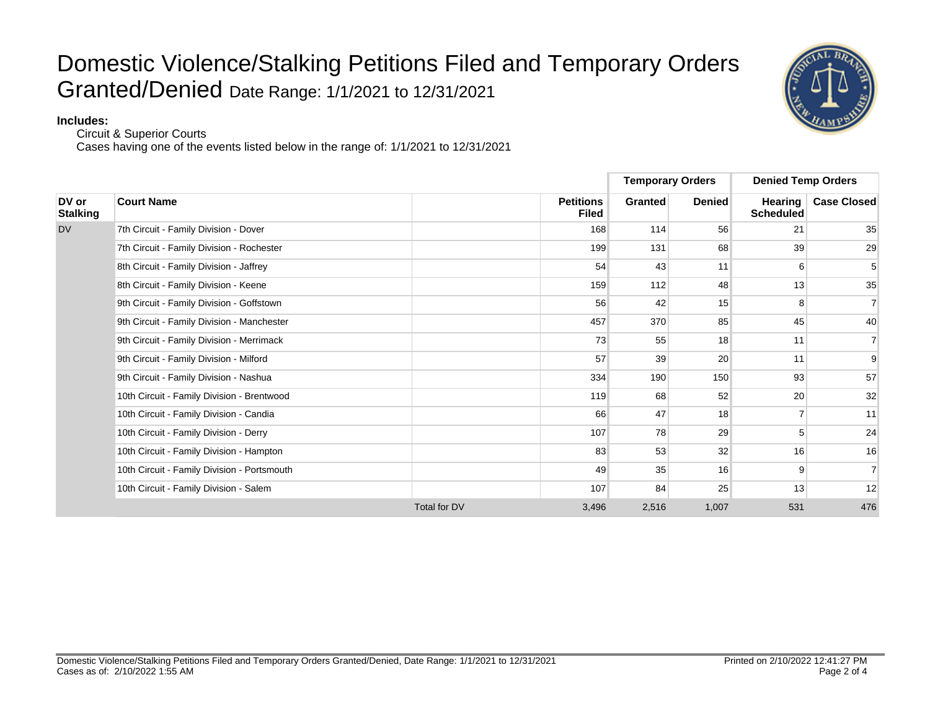#### **Includes:**

Circuit & Superior Courts

|                          |                                             |                     |                                  | <b>Temporary Orders</b> |               | <b>Denied Temp Orders</b>          |                    |
|--------------------------|---------------------------------------------|---------------------|----------------------------------|-------------------------|---------------|------------------------------------|--------------------|
| DV or<br><b>Stalking</b> | <b>Court Name</b>                           |                     | <b>Petitions</b><br><b>Filed</b> | <b>Granted</b>          | <b>Denied</b> | <b>Hearing</b><br><b>Scheduled</b> | <b>Case Closed</b> |
| <b>DV</b>                | 7th Circuit - Family Division - Dover       |                     | 168                              | 114                     | 56            | 21                                 | 35                 |
|                          | 7th Circuit - Family Division - Rochester   |                     | 199                              | 131                     | 68            | 39                                 | 29                 |
|                          | 8th Circuit - Family Division - Jaffrey     |                     | 54                               | 43                      | 11            | 6                                  | 5                  |
|                          | 8th Circuit - Family Division - Keene       |                     | 159                              | 112                     | 48            | 13                                 | 35                 |
|                          | 9th Circuit - Family Division - Goffstown   |                     | 56                               | 42                      | 15            | 8                                  | $\overline{7}$     |
|                          | 9th Circuit - Family Division - Manchester  |                     | 457                              | 370                     | 85            | 45                                 | 40                 |
|                          | 9th Circuit - Family Division - Merrimack   |                     | 73                               | 55                      | 18            | 11                                 | $\overline{7}$     |
|                          | 9th Circuit - Family Division - Milford     |                     | 57                               | 39                      | 20            | 11                                 | 9                  |
|                          | 9th Circuit - Family Division - Nashua      |                     | 334                              | 190                     | 150           | 93                                 | 57                 |
|                          | 10th Circuit - Family Division - Brentwood  |                     | 119                              | 68                      | 52            | 20                                 | 32                 |
|                          | 10th Circuit - Family Division - Candia     |                     | 66                               | 47                      | 18            |                                    | 11                 |
|                          | 10th Circuit - Family Division - Derry      |                     | 107                              | 78                      | 29            | 5                                  | 24                 |
|                          | 10th Circuit - Family Division - Hampton    |                     | 83                               | 53                      | 32            | 16                                 | 16                 |
|                          | 10th Circuit - Family Division - Portsmouth |                     | 49                               | 35                      | 16            | 9                                  | $\overline{7}$     |
|                          | 10th Circuit - Family Division - Salem      |                     | 107                              | 84                      | 25            | 13                                 | 12                 |
|                          |                                             | <b>Total for DV</b> | 3,496                            | 2,516                   | 1,007         | 531                                | 476                |

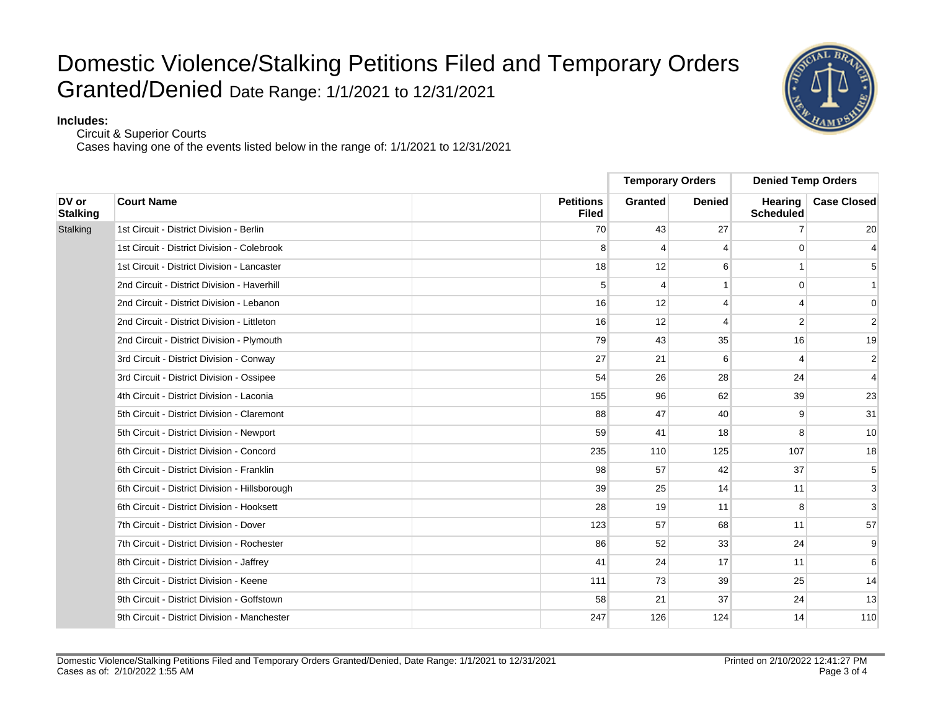#### **Includes:**

Circuit & Superior Courts

|                          |                                                |                                  | <b>Temporary Orders</b> |               | <b>Denied Temp Orders</b>   |                    |
|--------------------------|------------------------------------------------|----------------------------------|-------------------------|---------------|-----------------------------|--------------------|
| DV or<br><b>Stalking</b> | <b>Court Name</b>                              | <b>Petitions</b><br><b>Filed</b> | <b>Granted</b>          | <b>Denied</b> | <b>Hearing</b><br>Scheduled | <b>Case Closed</b> |
| Stalking                 | 1st Circuit - District Division - Berlin       | 70                               | 43                      | 27            |                             | 20                 |
|                          | 1st Circuit - District Division - Colebrook    | 8                                | $\overline{4}$          | 4             | $\Omega$                    | $\overline{4}$     |
|                          | 1st Circuit - District Division - Lancaster    | 18                               | 12                      | 6             |                             | 5                  |
|                          | 2nd Circuit - District Division - Haverhill    | 5                                | 4                       |               | $\Omega$                    | $\mathbf{1}$       |
|                          | 2nd Circuit - District Division - Lebanon      | 16                               | 12                      | 4             | $\boldsymbol{\Lambda}$      | $\mathbf{0}$       |
|                          | 2nd Circuit - District Division - Littleton    | 16                               | 12                      | 4             | $\mathfrak{p}$              | $\overline{2}$     |
|                          | 2nd Circuit - District Division - Plymouth     | 79                               | 43                      | 35            | 16                          | 19                 |
|                          | 3rd Circuit - District Division - Conway       | 27                               | 21                      | 6             | Δ                           | $\overline{2}$     |
|                          | 3rd Circuit - District Division - Ossipee      | 54                               | 26                      | 28            | 24                          | $\overline{4}$     |
|                          | 4th Circuit - District Division - Laconia      | 155                              | 96                      | 62            | 39                          | 23                 |
|                          | 5th Circuit - District Division - Claremont    | 88                               | 47                      | 40            | 9                           | 31                 |
|                          | 5th Circuit - District Division - Newport      | 59                               | 41                      | 18            | 8                           | 10                 |
|                          | 6th Circuit - District Division - Concord      | 235                              | 110                     | 125           | 107                         | 18                 |
|                          | 6th Circuit - District Division - Franklin     | 98                               | 57                      | 42            | 37                          | 5                  |
|                          | 6th Circuit - District Division - Hillsborough | 39                               | 25                      | 14            | 11                          | 3                  |
|                          | 6th Circuit - District Division - Hooksett     | 28                               | 19                      | 11            | 8                           | 3                  |
|                          | 7th Circuit - District Division - Dover        | 123                              | 57                      | 68            | 11                          | 57                 |
|                          | 7th Circuit - District Division - Rochester    | 86                               | 52                      | 33            | 24                          | 9                  |
|                          | 8th Circuit - District Division - Jaffrey      | 41                               | 24                      | 17            | 11                          | 6                  |
|                          | 8th Circuit - District Division - Keene        | 111                              | 73                      | 39            | 25                          | 14                 |
|                          | 9th Circuit - District Division - Goffstown    | 58                               | 21                      | 37            | 24                          | 13                 |
|                          | 9th Circuit - District Division - Manchester   | 247                              | 126                     | 124           | 14                          | 110                |